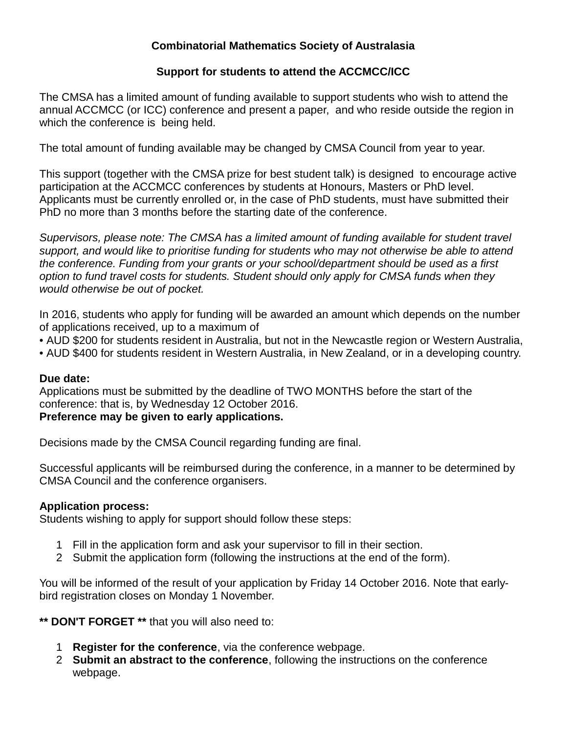## **Combinatorial Mathematics Society of Australasia**

## **Support for students to attend the ACCMCC/ICC**

The CMSA has a limited amount of funding available to support students who wish to attend the annual ACCMCC (or ICC) conference and present a paper, and who reside outside the region in which the conference is being held.

The total amount of funding available may be changed by CMSA Council from year to year.

This support (together with the CMSA prize for best student talk) is designed to encourage active participation at the ACCMCC conferences by students at Honours, Masters or PhD level. Applicants must be currently enrolled or, in the case of PhD students, must have submitted their PhD no more than 3 months before the starting date of the conference.

*Supervisors, please note: The CMSA has a limited amount of funding available for student travel support, and would like to prioritise funding for students who may not otherwise be able to attend the conference. Funding from your grants or your school/department should be used as a first option to fund travel costs for students. Student should only apply for CMSA funds when they would otherwise be out of pocket.*

In 2016, students who apply for funding will be awarded an amount which depends on the number of applications received, up to a maximum of

• AUD \$200 for students resident in Australia, but not in the Newcastle region or Western Australia,

• AUD \$400 for students resident in Western Australia, in New Zealand, or in a developing country.

## **Due date:**

Applications must be submitted by the deadline of TWO MONTHS before the start of the conference: that is, by Wednesday 12 October 2016.

# **Preference may be given to early applications.**

Decisions made by the CMSA Council regarding funding are final.

Successful applicants will be reimbursed during the conference, in a manner to be determined by CMSA Council and the conference organisers.

## **Application process:**

Students wishing to apply for support should follow these steps:

- 1 Fill in the application form and ask your supervisor to fill in their section.
- 2 Submit the application form (following the instructions at the end of the form).

You will be informed of the result of your application by Friday 14 October 2016. Note that earlybird registration closes on Monday 1 November.

**\*\* DON'T FORGET \*\*** that you will also need to:

- 1 **Register for the conference**, via the conference webpage.
- 2 **Submit an abstract to the conference**, following the instructions on the conference webpage.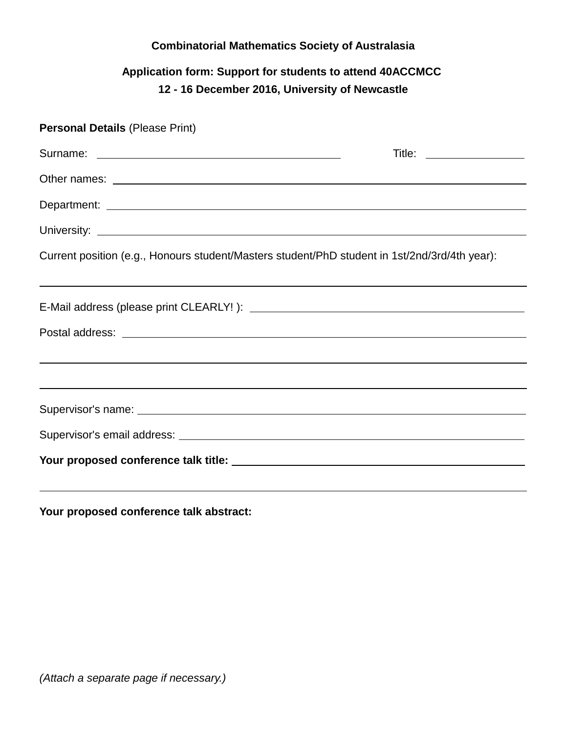### **Combinatorial Mathematics Society of Australasia**

## **Application form: Support for students to attend 40ACCMCC 12 - 16 December 2016, University of Newcastle**

| <b>Personal Details (Please Print)</b>                                                        |  |
|-----------------------------------------------------------------------------------------------|--|
|                                                                                               |  |
|                                                                                               |  |
|                                                                                               |  |
|                                                                                               |  |
| Current position (e.g., Honours student/Masters student/PhD student in 1st/2nd/3rd/4th year): |  |
|                                                                                               |  |
|                                                                                               |  |
| ,我们也不会有什么。""我们的人,我们也不会有什么?""我们的人,我们也不会有什么?""我们的人,我们也不会有什么?""我们的人,我们也不会有什么?""我们的人              |  |
|                                                                                               |  |
|                                                                                               |  |

**Your proposed conference talk abstract:**

*(Attach a separate page if necessary.)*